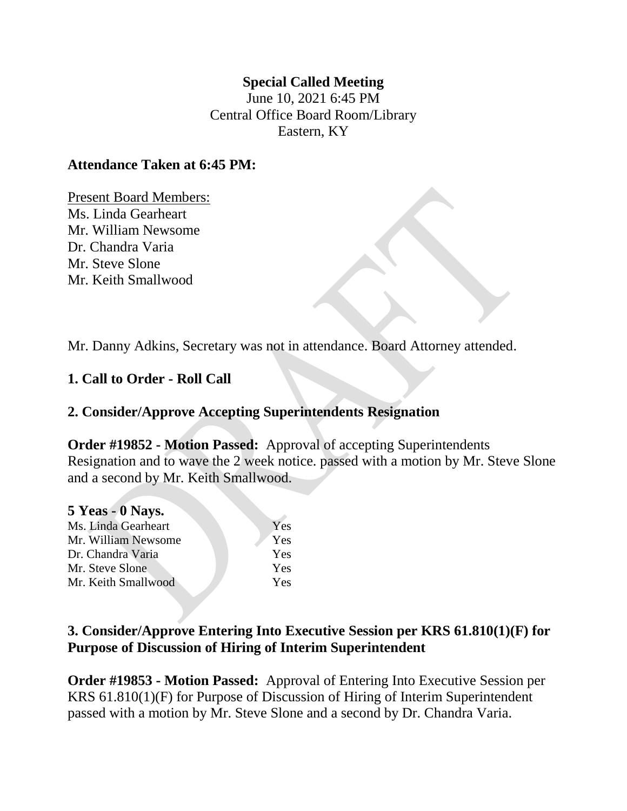## **Special Called Meeting**

June 10, 2021 6:45 PM Central Office Board Room/Library Eastern, KY

## **Attendance Taken at 6:45 PM:**

Present Board Members: Ms. Linda Gearheart Mr. William Newsome Dr. Chandra Varia Mr. Steve Slone Mr. Keith Smallwood

Mr. Danny Adkins, Secretary was not in attendance. Board Attorney attended.

# **1. Call to Order - Roll Call**

# **2. Consider/Approve Accepting Superintendents Resignation**

**Order #19852 - Motion Passed:** Approval of accepting Superintendents Resignation and to wave the 2 week notice. passed with a motion by Mr. Steve Slone and a second by Mr. Keith Smallwood.

| 5 Yeas - 0 Nays.    |     |
|---------------------|-----|
| Ms. Linda Gearheart | Yes |
| Mr. William Newsome | Yes |
| Dr. Chandra Varia   | Yes |
| Mr. Steve Slone     | Yes |
| Mr. Keith Smallwood | Yes |

# **3. Consider/Approve Entering Into Executive Session per KRS 61.810(1)(F) for Purpose of Discussion of Hiring of Interim Superintendent**

**Order #19853 - Motion Passed:** Approval of Entering Into Executive Session per KRS 61.810(1)(F) for Purpose of Discussion of Hiring of Interim Superintendent passed with a motion by Mr. Steve Slone and a second by Dr. Chandra Varia.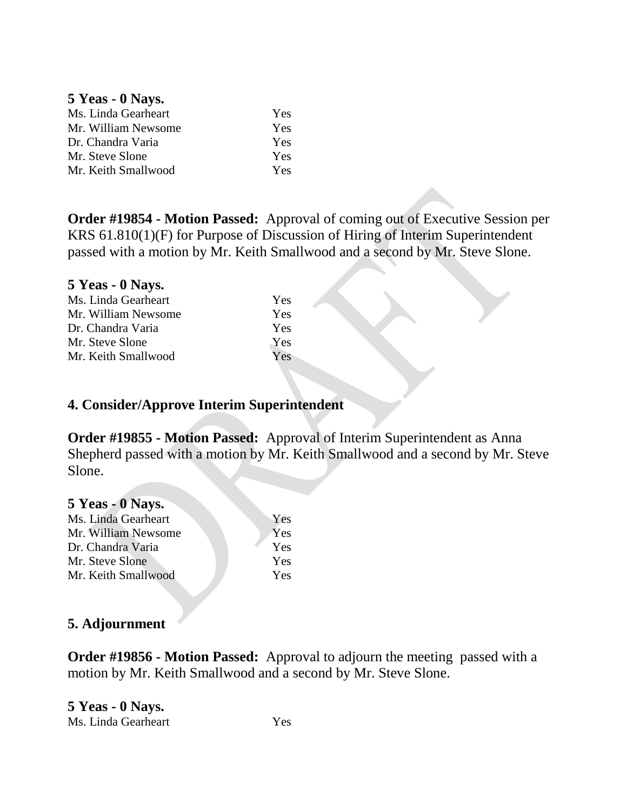#### **5 Yeas - 0 Nays.**

| Ms. Linda Gearheart | <b>Yes</b> |
|---------------------|------------|
| Mr. William Newsome | <b>Yes</b> |
| Dr. Chandra Varia   | Yes        |
| Mr. Steve Slone     | <b>Yes</b> |
| Mr. Keith Smallwood | Yes.       |

**Order #19854 - Motion Passed:** Approval of coming out of Executive Session per KRS 61.810(1)(F) for Purpose of Discussion of Hiring of Interim Superintendent passed with a motion by Mr. Keith Smallwood and a second by Mr. Steve Slone.

#### **5 Yeas - 0 Nays.**

| <b>Yes</b> |
|------------|
| <b>Yes</b> |
| Yes        |
| <b>Yes</b> |
| <b>Yes</b> |
|            |

## **4. Consider/Approve Interim Superintendent**

**Order #19855 - Motion Passed:** Approval of Interim Superintendent as Anna Shepherd passed with a motion by Mr. Keith Smallwood and a second by Mr. Steve Slone.

## **5 Yeas - 0 Nays.**

| Ms. Linda Gearheart | Yes        |
|---------------------|------------|
| Mr. William Newsome | Yes        |
| Dr. Chandra Varia   | Yes        |
| Mr. Steve Slone     | Yes        |
| Mr. Keith Smallwood | <b>Yes</b> |
|                     |            |

## **5. Adjournment**

**Order #19856 - Motion Passed:** Approval to adjourn the meeting passed with a motion by Mr. Keith Smallwood and a second by Mr. Steve Slone.

**5 Yeas - 0 Nays.**  Ms. Linda Gearheart Yes